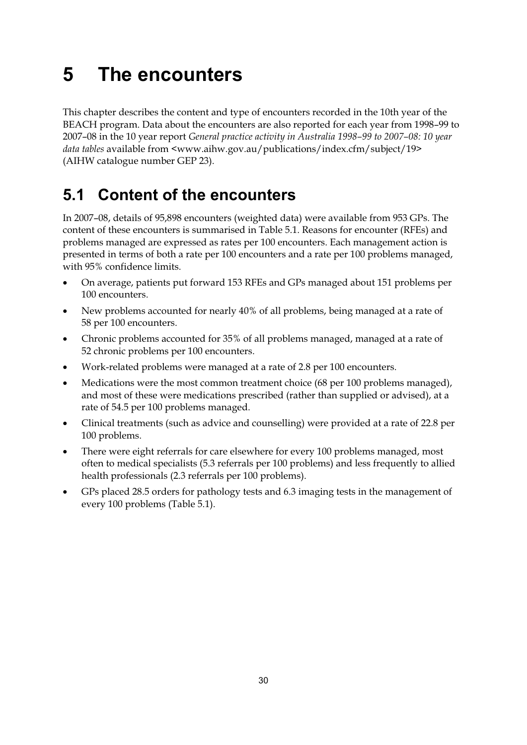# **5 The encounters**

This chapter describes the content and type of encounters recorded in the 10th year of the BEACH program. Data about the encounters are also reported for each year from 1998–99 to 2007–08 in the 10 year report *General practice activity in Australia 1998–99 to 2007–08: 10 year data tables* available from <www.aihw.gov.au/publications/index.cfm/subject/19> (AIHW catalogue number GEP 23).

## **5.1 Content of the encounters**

In 2007–08, details of 95,898 encounters (weighted data) were available from 953 GPs. The content of these encounters is summarised in Table 5.1. Reasons for encounter (RFEs) and problems managed are expressed as rates per 100 encounters. Each management action is presented in terms of both a rate per 100 encounters and a rate per 100 problems managed, with 95% confidence limits.

- $\bullet$  On average, patients put forward 153 RFEs and GPs managed about 151 problems per 100 encounters.
- $\bullet$  New problems accounted for nearly 40% of all problems, being managed at a rate of 58 per 100 encounters.
- - Chronic problems accounted for 35% of all problems managed, managed at a rate of 52 chronic problems per 100 encounters.
- $\bullet$ Work-related problems were managed at a rate of 2.8 per 100 encounters.
- - Medications were the most common treatment choice (68 per 100 problems managed), and most of these were medications prescribed (rather than supplied or advised), at a rate of 54.5 per 100 problems managed.
- - Clinical treatments (such as advice and counselling) were provided at a rate of 22.8 per 100 problems.
- $\bullet$  There were eight referrals for care elsewhere for every 100 problems managed, most often to medical specialists (5.3 referrals per 100 problems) and less frequently to allied health professionals (2.3 referrals per 100 problems).
- $\bullet$  GPs placed 28.5 orders for pathology tests and 6.3 imaging tests in the management of every 100 problems (Table 5.1).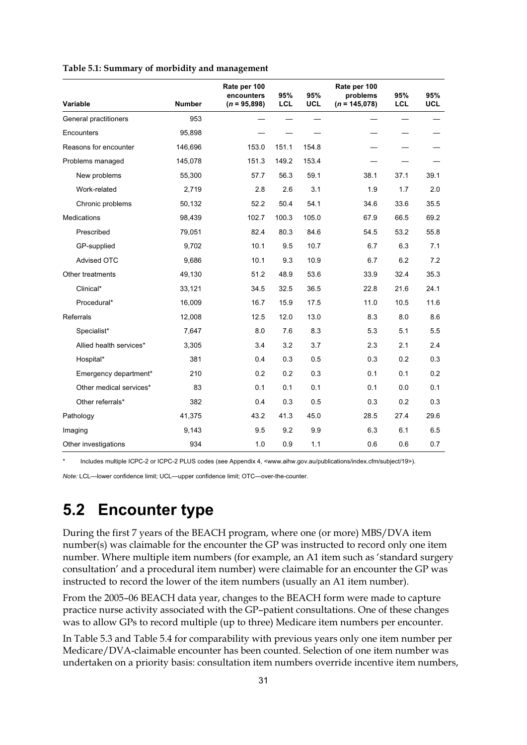|  |  |  |  | Table 5.1: Summary of morbidity and management |
|--|--|--|--|------------------------------------------------|
|  |  |  |  |                                                |

|                         |               | Rate per 100<br>encounters | 95%        | 95%        | Rate per 100<br>problems | 95%  | 95%        |
|-------------------------|---------------|----------------------------|------------|------------|--------------------------|------|------------|
| Variable                | <b>Number</b> | $(n = 95,898)$             | <b>LCL</b> | <b>UCL</b> | $(n = 145,078)$          | LCL  | <b>UCL</b> |
| General practitioners   | 953           |                            |            |            |                          |      |            |
| Encounters              | 95,898        |                            |            |            |                          |      |            |
| Reasons for encounter   | 146,696       | 153.0                      | 151.1      | 154.8      |                          |      |            |
| Problems managed        | 145,078       | 151.3                      | 149.2      | 153.4      |                          |      |            |
| New problems            | 55,300        | 57.7                       | 56.3       | 59.1       | 38.1                     | 37.1 | 39.1       |
| Work-related            | 2,719         | 2.8                        | 2.6        | 3.1        | 1.9                      | 1.7  | 2.0        |
| Chronic problems        | 50,132        | 52.2                       | 50.4       | 54.1       | 34.6                     | 33.6 | 35.5       |
| <b>Medications</b>      | 98,439        | 102.7                      | 100.3      | 105.0      | 67.9                     | 66.5 | 69.2       |
| Prescribed              | 79,051        | 82.4                       | 80.3       | 84.6       | 54.5                     | 53.2 | 55.8       |
| GP-supplied             | 9,702         | 10.1                       | 9.5        | 10.7       | 6.7                      | 6.3  | 7.1        |
| <b>Advised OTC</b>      | 9.686         | 10.1                       | 9.3        | 10.9       | 6.7                      | 6.2  | 7.2        |
| Other treatments        | 49,130        | 51.2                       | 48.9       | 53.6       | 33.9                     | 32.4 | 35.3       |
| Clinical*               | 33,121        | 34.5                       | 32.5       | 36.5       | 22.8                     | 21.6 | 24.1       |
| Procedural*             | 16,009        | 16.7                       | 15.9       | 17.5       | 11.0                     | 10.5 | 11.6       |
| Referrals               | 12,008        | 12.5                       | 12.0       | 13.0       | 8.3                      | 8.0  | 8.6        |
| Specialist*             | 7,647         | 8.0                        | 7.6        | 8.3        | 5.3                      | 5.1  | 5.5        |
| Allied health services* | 3,305         | 3.4                        | 3.2        | 3.7        | 2.3                      | 2.1  | 2.4        |
| Hospital*               | 381           | 0.4                        | 0.3        | 0.5        | 0.3                      | 0.2  | 0.3        |
| Emergency department*   | 210           | 0.2                        | 0.2        | 0.3        | 0.1                      | 0.1  | 0.2        |
| Other medical services* | 83            | 0.1                        | 0.1        | 0.1        | 0.1                      | 0.0  | 0.1        |
| Other referrals*        | 382           | 0.4                        | 0.3        | 0.5        | 0.3                      | 0.2  | 0.3        |
| Pathology               | 41,375        | 43.2                       | 41.3       | 45.0       | 28.5                     | 27.4 | 29.6       |
| Imaging                 | 9,143         | 9.5                        | 9.2        | 9.9        | 6.3                      | 6.1  | 6.5        |
| Other investigations    | 934           | 1.0                        | 0.9        | 1.1        | 0.6                      | 0.6  | 0.7        |

Includes multiple ICPC-2 or ICPC-2 PLUS codes (see Appendix 4, <www.aihw.gov.au/publications/index.cfm/subject/19>).

*Note:* LCL—lower confidence limit; UCL—upper confidence limit; OTC—over-the-counter.

### **5.2 Encounter type**

During the first 7 years of the BEACH program, where one (or more) MBS/DVA item number(s) was claimable for the encounter the GP was instructed to record only one item number. Where multiple item numbers (for example, an A1 item such as 'standard surgery consultation' and a procedural item number) were claimable for an encounter the GP was instructed to record the lower of the item numbers (usually an A1 item number).

From the 2005–06 BEACH data year, changes to the BEACH form were made to capture practice nurse activity associated with the GP–patient consultations. One of these changes was to allow GPs to record multiple (up to three) Medicare item numbers per encounter.

In Table 5.3 and Table 5.4 for comparability with previous years only one item number per Medicare/DVA-claimable encounter has been counted. Selection of one item number was undertaken on a priority basis: consultation item numbers override incentive item numbers,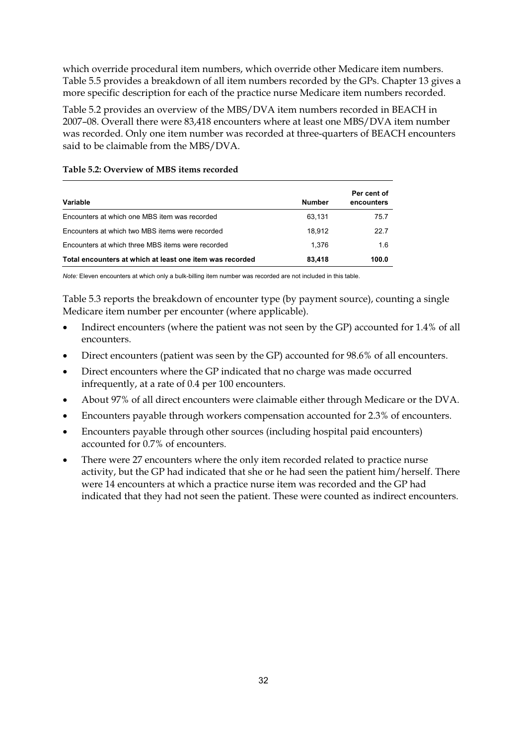which override procedural item numbers, which override other Medicare item numbers. Table 5.5 provides a breakdown of all item numbers recorded by the GPs. Chapter 13 gives a more specific description for each of the practice nurse Medicare item numbers recorded.

Table 5.2 provides an overview of the MBS/DVA item numbers recorded in BEACH in 2007–08. Overall there were 83,418 encounters where at least one MBS/DVA item number was recorded. Only one item number was recorded at three-quarters of BEACH encounters said to be claimable from the MBS/DVA.

| Variable                                                 | <b>Number</b> | Per cent of<br>encounters |
|----------------------------------------------------------|---------------|---------------------------|
| Encounters at which one MBS item was recorded            | 63.131        | 75.7                      |
| Encounters at which two MBS items were recorded          | 18.912        | 22.7                      |
| Encounters at which three MBS items were recorded        | 1.376         | 1.6                       |
| Total encounters at which at least one item was recorded | 83.418        | 100.0                     |

### **Table 5.2: Overview of MBS items recorded**

*Note:* Eleven encounters at which only a bulk-billing item number was recorded are not included in this table.

Table 5.3 reports the breakdown of encounter type (by payment source), counting a single Medicare item number per encounter (where applicable).

- $\bullet$  Indirect encounters (where the patient was not seen by the GP) accounted for 1.4% of all encounters.
- $\bullet$ Direct encounters (patient was seen by the GP) accounted for 98.6% of all encounters.
- $\bullet$  Direct encounters where the GP indicated that no charge was made occurred infrequently, at a rate of 0.4 per 100 encounters.
- $\bullet$ About 97% of all direct encounters were claimable either through Medicare or the DVA.
- $\bullet$ Encounters payable through workers compensation accounted for 2.3% of encounters.
- $\bullet$  Encounters payable through other sources (including hospital paid encounters) accounted for 0.7% of encounters.
- $\bullet$  There were 27 encounters where the only item recorded related to practice nurse activity, but the GP had indicated that she or he had seen the patient him/herself. There were 14 encounters at which a practice nurse item was recorded and the GP had indicated that they had not seen the patient. These were counted as indirect encounters.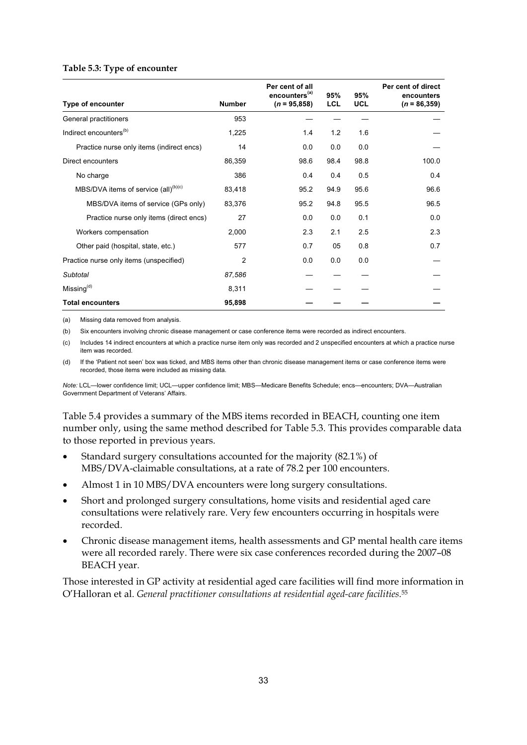#### **Table 5.3: Type of encounter**

|                                                  | Per cent of all<br>encounters <sup>(a)</sup> |                | 95%        | 95%        | Per cent of direct<br>encounters |  |
|--------------------------------------------------|----------------------------------------------|----------------|------------|------------|----------------------------------|--|
| Type of encounter                                | <b>Number</b>                                | $(n = 95,858)$ | <b>LCL</b> | <b>UCL</b> | $(n = 86, 359)$                  |  |
| General practitioners                            | 953                                          |                |            |            |                                  |  |
| Indirect encounters <sup>(b)</sup>               | 1,225                                        | 1.4            | 1.2        | 1.6        |                                  |  |
| Practice nurse only items (indirect encs)        | 14                                           | 0.0            | 0.0        | 0.0        |                                  |  |
| Direct encounters                                | 86,359                                       | 98.6           | 98.4       | 98.8       | 100.0                            |  |
| No charge                                        | 386                                          | 0.4            | 0.4        | 0.5        | 0.4                              |  |
| MBS/DVA items of service (all) <sup>(b)(c)</sup> | 83,418                                       | 95.2           | 94.9       | 95.6       | 96.6                             |  |
| MBS/DVA items of service (GPs only)              | 83,376                                       | 95.2           | 94.8       | 95.5       | 96.5                             |  |
| Practice nurse only items (direct encs)          | 27                                           | 0.0            | 0.0        | 0.1        | 0.0                              |  |
| Workers compensation                             | 2,000                                        | 2.3            | 2.1        | 2.5        | 2.3                              |  |
| Other paid (hospital, state, etc.)               | 577                                          | 0.7            | 05         | 0.8        | 0.7                              |  |
| Practice nurse only items (unspecified)          | $\overline{2}$                               | 0.0            | 0.0        | 0.0        |                                  |  |
| Subtotal                                         | 87,586                                       |                |            |            |                                  |  |
| Missing <sup>(d)</sup>                           | 8,311                                        |                |            |            |                                  |  |
| <b>Total encounters</b>                          | 95,898                                       |                |            |            |                                  |  |

(a) Missing data removed from analysis.

(b) Six encounters involving chronic disease management or case conference items were recorded as indirect encounters.

(c) Includes 14 indirect encounters at which a practice nurse item only was recorded and 2 unspecified encounters at which a practice nurse item was recorded.

(d) If the 'Patient not seen' box was ticked, and MBS items other than chronic disease management items or case conference items were recorded, those items were included as missing data.

*Note:* LCL—lower confidence limit; UCL—upper confidence limit; MBS—Medicare Benefits Schedule; encs—encounters; DVA—Australian Government Department of Veterans' Affairs.

Table 5.4 provides a summary of the MBS items recorded in BEACH, counting one item number only, using the same method described for Table 5.3. This provides comparable data to those reported in previous years.

- $\bullet$  Standard surgery consultations accounted for the majority (82.1%) of MBS/DVA-claimable consultations, at a rate of 78.2 per 100 encounters.
- $\bullet$ Almost 1 in 10 MBS/DVA encounters were long surgery consultations.
- $\bullet$  Short and prolonged surgery consultations, home visits and residential aged care consultations were relatively rare. Very few encounters occurring in hospitals were recorded.
- - Chronic disease management items, health assessments and GP mental health care items were all recorded rarely. There were six case conferences recorded during the 2007–08 BEACH year.

Those interested in GP activity at residential aged care facilities will find more information in O'Halloran et al. *General practitioner consultations at residential aged-care facilities*.55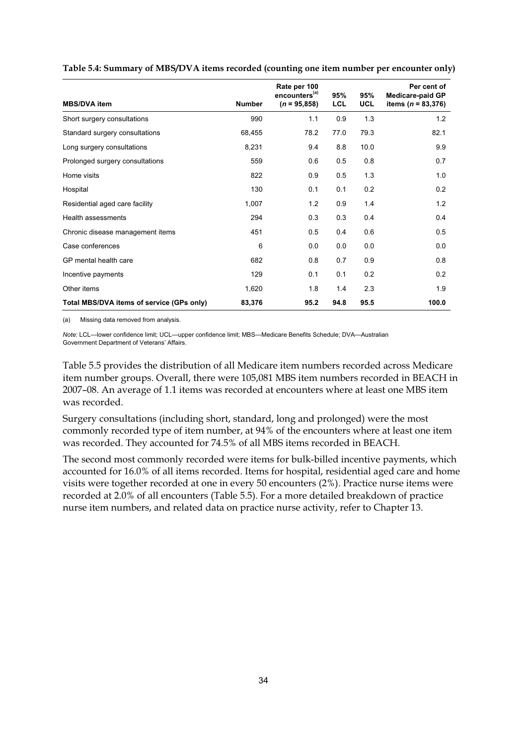|                                           |               | Rate per 100<br>encounters <sup>(a)</sup> | 95%        | 95%        | Per cent of<br><b>Medicare-paid GP</b> |
|-------------------------------------------|---------------|-------------------------------------------|------------|------------|----------------------------------------|
| <b>MBS/DVA</b> item                       | <b>Number</b> | $(n = 95,858)$                            | <b>LCL</b> | <b>UCL</b> | items ( $n = 83,376$ )                 |
| Short surgery consultations               | 990           | 1.1                                       | 0.9        | 1.3        | 1.2                                    |
| Standard surgery consultations            | 68,455        | 78.2                                      | 77.0       | 79.3       | 82.1                                   |
| Long surgery consultations                | 8,231         | 9.4                                       | 8.8        | 10.0       | 9.9                                    |
| Prolonged surgery consultations           | 559           | 0.6                                       | 0.5        | 0.8        | 0.7                                    |
| Home visits                               | 822           | 0.9                                       | 0.5        | 1.3        | 1.0                                    |
| Hospital                                  | 130           | 0.1                                       | 0.1        | 0.2        | 0.2                                    |
| Residential aged care facility            | 1,007         | 1.2                                       | 0.9        | 1.4        | 1.2                                    |
| Health assessments                        | 294           | 0.3                                       | 0.3        | 0.4        | 0.4                                    |
| Chronic disease management items          | 451           | 0.5                                       | 0.4        | 0.6        | 0.5                                    |
| Case conferences                          | 6             | 0.0                                       | 0.0        | 0.0        | 0.0                                    |
| GP mental health care                     | 682           | 0.8                                       | 0.7        | 0.9        | 0.8                                    |
| Incentive payments                        | 129           | 0.1                                       | 0.1        | 0.2        | 0.2                                    |
| Other items                               | 1,620         | 1.8                                       | 1.4        | 2.3        | 1.9                                    |
| Total MBS/DVA items of service (GPs only) | 83,376        | 95.2                                      | 94.8       | 95.5       | 100.0                                  |

**Table 5.4: Summary of MBS/DVA items recorded (counting one item number per encounter only)** 

(a) Missing data removed from analysis.

*Note:* LCL—lower confidence limit; UCL—upper confidence limit; MBS—Medicare Benefits Schedule; DVA—Australian Government Department of Veterans' Affairs.

Table 5.5 provides the distribution of all Medicare item numbers recorded across Medicare item number groups. Overall, there were 105,081 MBS item numbers recorded in BEACH in 2007–08. An average of 1.1 items was recorded at encounters where at least one MBS item was recorded.

Surgery consultations (including short, standard, long and prolonged) were the most commonly recorded type of item number, at 94% of the encounters where at least one item was recorded. They accounted for 74.5% of all MBS items recorded in BEACH.

The second most commonly recorded were items for bulk-billed incentive payments, which accounted for 16.0% of all items recorded. Items for hospital, residential aged care and home visits were together recorded at one in every 50 encounters (2%). Practice nurse items were recorded at 2.0% of all encounters (Table 5.5). For a more detailed breakdown of practice nurse item numbers, and related data on practice nurse activity, refer to Chapter 13.